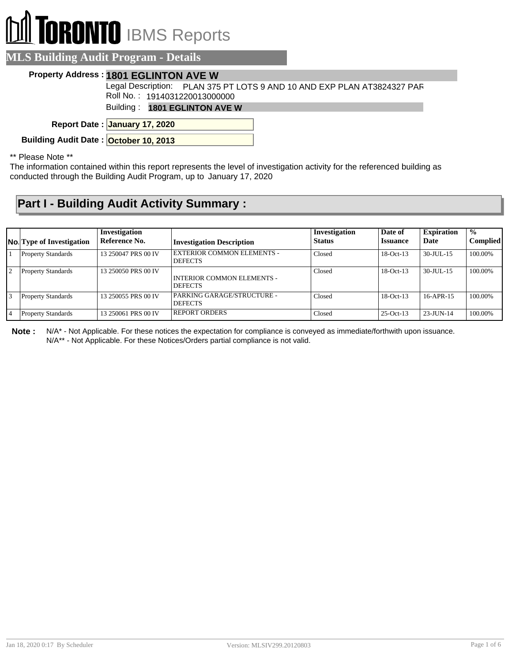## **RONTO** IBMS Reports

| <b>LS Building Audit Program - Details</b> |                                                                         |
|--------------------------------------------|-------------------------------------------------------------------------|
| Property Address: 1801 EGLINTON AVE W      |                                                                         |
|                                            | Legal Description: PLAN 375 PT LOTS 9 AND 10 AND EXP PLAN AT3824327 PAR |
| Roll No.: 1914031220013000000              |                                                                         |
| Building: 1801 EGLINTON AVE W              |                                                                         |
| Report Date: January 17, 2020              |                                                                         |
| Building Audit Date: October 10, 2013      |                                                                         |

\*\* Please Note \*\*

The information contained within this report represents the level of investigation activity for the referenced building as conducted through the Building Audit Program, up to January 17, 2020

## **Part I - Building Audit Activity Summary :**

|                | <b>No.</b> Type of Investigation | Investigation<br>Reference No. | <b>Investigation Description</b>                    | Investigation<br><b>Status</b> | Date of<br><b>Issuance</b> | <b>Expiration</b><br>Date | $\frac{0}{0}$<br><b>Complied</b> |
|----------------|----------------------------------|--------------------------------|-----------------------------------------------------|--------------------------------|----------------------------|---------------------------|----------------------------------|
|                | <b>Property Standards</b>        | 13 250047 PRS 00 IV            | <b>EXTERIOR COMMON ELEMENTS -</b><br><b>DEFECTS</b> | Closed                         | $18-Oct-13$                | $30$ -JUL-15              | 100.00%                          |
| $\overline{2}$ | <b>Property Standards</b>        | 13 250050 PRS 00 IV            | <b>INTERIOR COMMON ELEMENTS -</b><br><b>DEFECTS</b> | Closed                         | $18-Oct-13$                | $30 - JUII - 15$          | 100.00%                          |
| 13             | <b>Property Standards</b>        | 13 250055 PRS 00 IV            | <b>PARKING GARAGE/STRUCTURE -</b><br><b>DEFECTS</b> | Closed                         | $18-Oct-13$                | $16-APR-15$               | 100.00%                          |
|                | <b>Property Standards</b>        | 13 250061 PRS 00 IV            | <b>REPORT ORDERS</b>                                | Closed                         | $25$ -Oct-13               | $23 - J$ UN-14            | 100.00%                          |

**Note :** N/A\* - Not Applicable. For these notices the expectation for compliance is conveyed as immediate/forthwith upon issuance. N/A\*\* - Not Applicable. For these Notices/Orders partial compliance is not valid.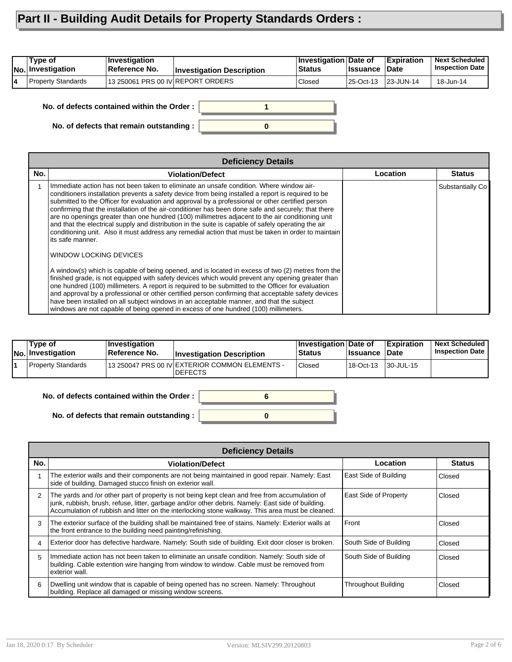## **Part II - Building Audit Details for Property Standards Orders :**

| 'Type of<br>No. Investigation | <b>Investigation</b><br>Reference No. | <b>Investigation Description</b> | <b>Investigation Date of</b><br>Status | <b>Ilssuance Date</b> | <b>Expiration</b> | <b>Next Scheduled</b><br><b>Inspection Date</b> |
|-------------------------------|---------------------------------------|----------------------------------|----------------------------------------|-----------------------|-------------------|-------------------------------------------------|
| Property Standards            | 13 250061 PRS 00 IV REPORT ORDERS     |                                  | Closed                                 | 25-Oct-13 23-JUN-14   |                   | 18-Jun-14                                       |

**0 1 No. of defects that remain outstanding : No. of defects contained within the Order :**

|     | <b>Deficiency Details</b>                                                                                                                                                                                                                                                                                                                                                                                                                                                                                                                                                                                                                                                                                                                      |          |                  |
|-----|------------------------------------------------------------------------------------------------------------------------------------------------------------------------------------------------------------------------------------------------------------------------------------------------------------------------------------------------------------------------------------------------------------------------------------------------------------------------------------------------------------------------------------------------------------------------------------------------------------------------------------------------------------------------------------------------------------------------------------------------|----------|------------------|
| No. | <b>Violation/Defect</b>                                                                                                                                                                                                                                                                                                                                                                                                                                                                                                                                                                                                                                                                                                                        | Location | <b>Status</b>    |
|     | Immediate action has not been taken to eliminate an unsafe condition. Where window air-<br>conditioners installation prevents a safety device from being installed a report is required to be<br>submitted to the Officer for evaluation and approval by a professional or other certified person<br>confirming that the installation of the air-conditioner has been done safe and securely; that there<br>are no openings greater than one hundred (100) millimetres adjacent to the air conditioning unit<br>and that the electrical supply and distribution in the suite is capable of safely operating the air<br>conditioning unit. Also it must address any remedial action that must be taken in order to maintain<br>its safe manner. |          | Substantially Co |
|     | WINDOW LOCKING DEVICES                                                                                                                                                                                                                                                                                                                                                                                                                                                                                                                                                                                                                                                                                                                         |          |                  |
|     | A window(s) which is capable of being opened, and is located in excess of two (2) metres from the<br>finished grade, is not equipped with safety devices which would prevent any opening greater than<br>one hundred (100) millimeters. A report is required to be submitted to the Officer for evaluation<br>and approval by a professional or other certified person confirming that acceptable safety devices<br>have been installed on all subject windows in an acceptable manner, and that the subject<br>windows are not capable of being opened in excess of one hundred (100) millimeters.                                                                                                                                            |          |                  |

| Type of<br><b>No. Investigation</b> | Investigation<br>Reference No. | <b>Investigation Description</b>                                 | <b>Investigation Date of</b><br><b>Status</b> | <b>Issuance Date</b> | Expiration        | <b>Next Scheduled</b><br><b>Inspection Date</b> |
|-------------------------------------|--------------------------------|------------------------------------------------------------------|-----------------------------------------------|----------------------|-------------------|-------------------------------------------------|
| Property Standards                  |                                | 13 250047 PRS 00 IV EXTERIOR COMMON ELEMENTS -<br><b>DEFECTS</b> | Closed                                        | 18-Oct-13            | $ 30 - JUL - 15 $ |                                                 |

**No. of defects contained within the Order :**

**No. of defects that remain outstanding :**

| -- | 6 |  |
|----|---|--|
|    |   |  |

|               | <b>Deficiency Details</b>                                                                                                                                                                                                                                                                               |                            |               |
|---------------|---------------------------------------------------------------------------------------------------------------------------------------------------------------------------------------------------------------------------------------------------------------------------------------------------------|----------------------------|---------------|
| No.           | <b>Violation/Defect</b>                                                                                                                                                                                                                                                                                 | Location                   | <b>Status</b> |
|               | The exterior walls and their components are not being maintained in good repair. Namely: East<br>side of building. Damaged stucco finish on exterior wall.                                                                                                                                              | East Side of Building      | Closed        |
| $\mathcal{P}$ | The yards and /or other part of property is not being kept clean and free from accumulation of<br>junk, rubbish, brush, refuse, litter, garbage and/or other debris. Namely: East side of building.<br>Accumulation of rubbish and litter on the interlocking stone walkway. This area must be cleaned. | East Side of Property      | Closed        |
| 3             | The exterior surface of the building shall be maintained free of stains. Namely: Exterior walls at<br>the front entrance to the building need painting/refinishing.                                                                                                                                     | Front                      | Closed        |
| 4             | Exterior door has defective hardware. Namely: South side of building. Exit door closer is broken.                                                                                                                                                                                                       | South Side of Building     | Closed        |
| 5             | Immediate action has not been taken to eliminate an unsafe condition. Namely: South side of<br>building. Cable extention wire hanging from window to window. Cable must be removed from<br>exterior wall.                                                                                               | South Side of Building     | Closed        |
| 6             | Dwelling unit window that is capable of being opened has no screen. Namely: Throughout<br>building. Replace all damaged or missing window screens.                                                                                                                                                      | <b>Throughout Building</b> | Closed        |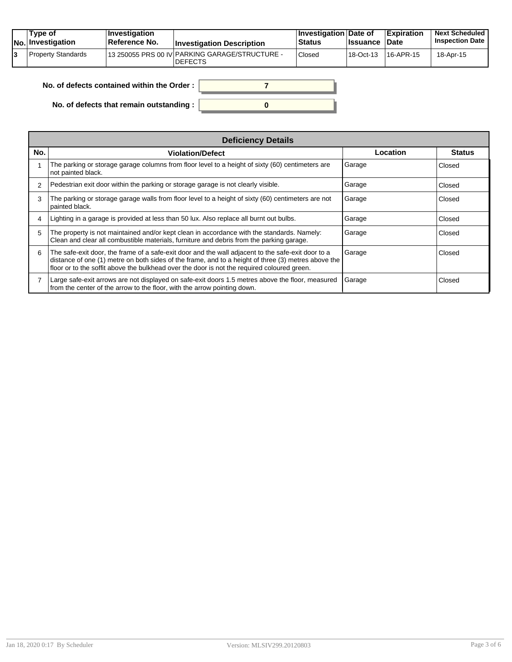|  | Tvpe of<br>No. Investigation | $\vert$ Investigation<br><b>∣Reference No.</b> | <b>Investigation Description</b>                                 | <b>∐nvestigation Date of</b><br>∣Status | <b>Issuance Date</b> | <b>Expiration</b>      | <b>Next Scheduled</b><br><b>Inspection Date</b> |
|--|------------------------------|------------------------------------------------|------------------------------------------------------------------|-----------------------------------------|----------------------|------------------------|-------------------------------------------------|
|  | Property Standards           |                                                | 13 250055 PRS 00 IV PARKING GARAGE/STRUCTURE -<br><b>DEFECTS</b> | Closed                                  | 18-Oct-13            | <sup>1</sup> 16-APR-15 | 18-Apr-15                                       |

| No. of defects contained within the Order : $\vert$ |  |
|-----------------------------------------------------|--|
| No. of defects that remain outstanding :            |  |

|     | <b>Deficiency Details</b>                                                                                                                                                                                                                                                                                |          |               |  |  |  |
|-----|----------------------------------------------------------------------------------------------------------------------------------------------------------------------------------------------------------------------------------------------------------------------------------------------------------|----------|---------------|--|--|--|
| No. | <b>Violation/Defect</b>                                                                                                                                                                                                                                                                                  | Location | <b>Status</b> |  |  |  |
|     | The parking or storage garage columns from floor level to a height of sixty (60) centimeters are<br>not painted black.                                                                                                                                                                                   | Garage   | Closed        |  |  |  |
| 2   | Pedestrian exit door within the parking or storage garage is not clearly visible.                                                                                                                                                                                                                        | Garage   | Closed        |  |  |  |
| 3   | The parking or storage garage walls from floor level to a height of sixty (60) centimeters are not<br>painted black.                                                                                                                                                                                     | Garage   | Closed        |  |  |  |
| 4   | Lighting in a garage is provided at less than 50 lux. Also replace all burnt out bulbs.                                                                                                                                                                                                                  | Garage   | Closed        |  |  |  |
| 5   | The property is not maintained and/or kept clean in accordance with the standards. Namely:<br>Clean and clear all combustible materials, furniture and debris from the parking garage.                                                                                                                   | Garage   | Closed        |  |  |  |
| 6   | The safe-exit door, the frame of a safe-exit door and the wall adjacent to the safe-exit door to a<br>distance of one (1) metre on both sides of the frame, and to a height of three (3) metres above the<br>floor or to the soffit above the bulkhead over the door is not the required coloured green. | Garage   | Closed        |  |  |  |
|     | Large safe-exit arrows are not displayed on safe-exit doors 1.5 metres above the floor, measured<br>from the center of the arrow to the floor, with the arrow pointing down.                                                                                                                             | Garage   | Closed        |  |  |  |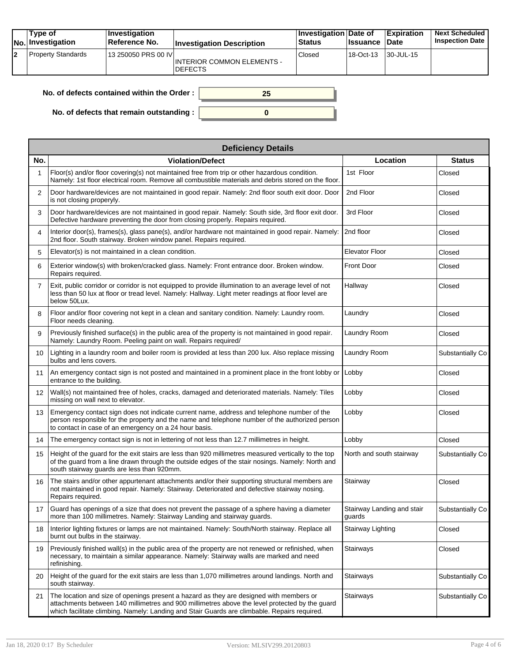|    | Type of<br><b>No. Investigation</b> | <b>Investigation</b><br>⊺Reference No. | <b>Investigation Description</b>                    | Investigation Date of<br><b>Status</b> | <b>Issuance</b> | <b>Expiration</b><br><b>Date</b> | <b>Next Scheduled</b><br><b>Inspection Date</b> |
|----|-------------------------------------|----------------------------------------|-----------------------------------------------------|----------------------------------------|-----------------|----------------------------------|-------------------------------------------------|
| 12 | Property Standards                  | 13 250050 PRS 00 IV                    | <b>INTERIOR COMMON ELEMENTS -</b><br><b>DEFECTS</b> | Closed                                 | 18-Oct-13       | 130-JUL-15                       |                                                 |

| No. of defects contained within the Order : $\vert$ |  |
|-----------------------------------------------------|--|
| No. of defects that remain outstanding : $\vert$    |  |

|                   | <b>Deficiency Details</b>                                                                                                                                                                                                                                                                 |                                      |                   |  |  |  |  |  |
|-------------------|-------------------------------------------------------------------------------------------------------------------------------------------------------------------------------------------------------------------------------------------------------------------------------------------|--------------------------------------|-------------------|--|--|--|--|--|
| No.               | <b>Violation/Defect</b>                                                                                                                                                                                                                                                                   | Location                             | <b>Status</b>     |  |  |  |  |  |
|                   | Floor(s) and/or floor covering(s) not maintained free from trip or other hazardous condition.<br>Namely: 1st floor electrical room. Remove all combustible materials and debris stored on the floor.                                                                                      | 1st Floor                            | Closed            |  |  |  |  |  |
| 2                 | Door hardware/devices are not maintained in good repair. Namely: 2nd floor south exit door. Door<br>is not closing properyly.                                                                                                                                                             | 2nd Floor                            | Closed            |  |  |  |  |  |
| 3                 | Door hardware/devices are not maintained in good repair. Namely: South side, 3rd floor exit door.<br>Defective hardware preventing the door from closing properly. Repairs required.                                                                                                      | 3rd Floor                            | Closed            |  |  |  |  |  |
| 4                 | Interior door(s), frames(s), glass pane(s), and/or hardware not maintained in good repair. Namely:<br>2nd floor. South stairway. Broken window panel. Repairs required.                                                                                                                   | 2nd floor                            | Closed            |  |  |  |  |  |
| 5                 | Elevator(s) is not maintained in a clean condition.                                                                                                                                                                                                                                       | <b>Elevator Floor</b>                | Closed            |  |  |  |  |  |
| 6                 | Exterior window(s) with broken/cracked glass. Namely: Front entrance door. Broken window.<br>Repairs required.                                                                                                                                                                            | <b>Front Door</b>                    | Closed            |  |  |  |  |  |
| $\overline{7}$    | Exit, public corridor or corridor is not equipped to provide illumination to an average level of not<br>less than 50 lux at floor or tread level. Namely: Hallway. Light meter readings at floor level are<br>below 50Lux.                                                                | Hallway                              | Closed            |  |  |  |  |  |
| 8                 | Floor and/or floor covering not kept in a clean and sanitary condition. Namely: Laundry room.<br>Floor needs cleaning.                                                                                                                                                                    | Laundry                              | Closed            |  |  |  |  |  |
| 9                 | Previously finished surface(s) in the public area of the property is not maintained in good repair.<br>Namely: Laundry Room. Peeling paint on wall. Repairs required/                                                                                                                     | Laundry Room                         | Closed            |  |  |  |  |  |
| 10                | Lighting in a laundry room and boiler room is provided at less than 200 lux. Also replace missing<br>bulbs and lens covers.                                                                                                                                                               | Laundry Room                         | Substantially Co. |  |  |  |  |  |
| 11                | An emergency contact sign is not posted and maintained in a prominent place in the front lobby or<br>entrance to the building.                                                                                                                                                            | Lobby                                | Closed            |  |  |  |  |  |
| $12 \overline{ }$ | Wall(s) not maintained free of holes, cracks, damaged and deteriorated materials. Namely: Tiles<br>missing on wall next to elevator.                                                                                                                                                      | Lobby                                | Closed            |  |  |  |  |  |
| 13                | Emergency contact sign does not indicate current name, address and telephone number of the<br>person responsible for the property and the name and telephone number of the authorized person<br>to contact in case of an emergency on a 24 hour basis.                                    | Lobby                                | Closed            |  |  |  |  |  |
| 14                | The emergency contact sign is not in lettering of not less than 12.7 millimetres in height.                                                                                                                                                                                               | Lobby                                | Closed            |  |  |  |  |  |
| 15                | Height of the guard for the exit stairs are less than 920 millimetres measured vertically to the top<br>of the guard from a line drawn through the outside edges of the stair nosings. Namely: North and<br>south stairway guards are less than 920mm.                                    | North and south stairway             | Substantially Co. |  |  |  |  |  |
| 16                | The stairs and/or other appurtenant attachments and/or their supporting structural members are<br>not maintained in good repair. Namely: Stairway. Deteriorated and defective stairway nosing.<br>Repairs required.                                                                       | Stairway                             | Closed            |  |  |  |  |  |
| 17                | Guard has openings of a size that does not prevent the passage of a sphere having a diameter<br>more than 100 millimetres. Namely: Stairway Landing and stairway guards.                                                                                                                  | Stairway Landing and stair<br>guards | Substantially Co. |  |  |  |  |  |
| 18                | Interior lighting fixtures or lamps are not maintained. Namely: South/North stairway. Replace all<br>burnt out bulbs in the stairway.                                                                                                                                                     | Stairway Lighting                    | Closed            |  |  |  |  |  |
| 19                | Previously finished wall(s) in the public area of the property are not renewed or refinished, when<br>necessary, to maintain a similar appearance. Namely: Stairway walls are marked and need<br>refinishing.                                                                             | Stairways                            | Closed            |  |  |  |  |  |
| 20                | Height of the guard for the exit stairs are less than 1,070 millimetres around landings. North and<br>south stairway.                                                                                                                                                                     | Stairways                            | Substantially Co  |  |  |  |  |  |
| 21                | The location and size of openings present a hazard as they are designed with members or<br>attachments between 140 millimetres and 900 millimetres above the level protected by the guard<br>which facilitate climbing. Namely: Landing and Stair Guards are climbable. Repairs required. | Stairways                            | Substantially Co  |  |  |  |  |  |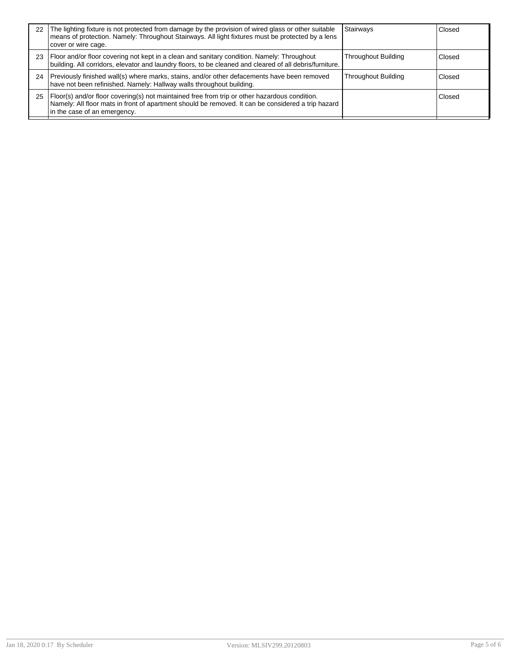| 22 | The lighting fixture is not protected from damage by the provision of wired glass or other suitable<br>means of protection. Namely: Throughout Stairways. All light fixtures must be protected by a lens<br>cover or wire cage.     | Stairways                  | Closed |
|----|-------------------------------------------------------------------------------------------------------------------------------------------------------------------------------------------------------------------------------------|----------------------------|--------|
| 23 | Floor and/or floor covering not kept in a clean and sanitary condition. Namely: Throughout<br>building. All corridors, elevator and laundry floors, to be cleaned and cleared of all debris/furniture.                              | Throughout Building        | Closed |
| 24 | Previously finished wall(s) where marks, stains, and/or other defacements have been removed<br>have not been refinished. Namely: Hallway walls throughout building.                                                                 | <b>Throughout Building</b> | Closed |
| 25 | Floor(s) and/or floor covering(s) not maintained free from trip or other hazardous condition.<br>Namely: All floor mats in front of apartment should be removed. It can be considered a trip hazard<br>in the case of an emergency. |                            | Closed |